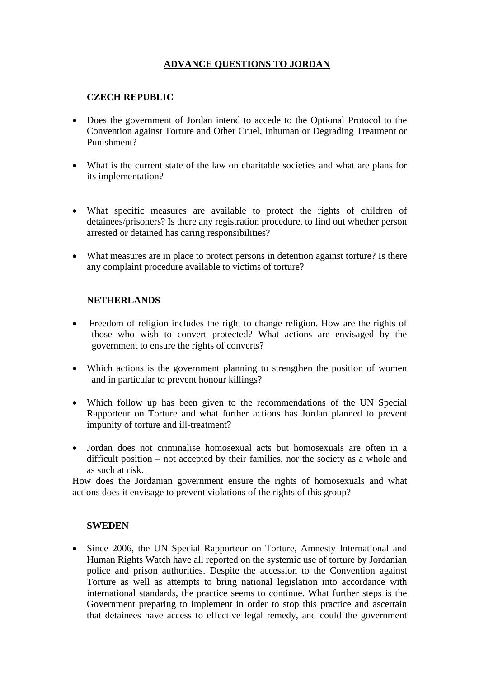## **ADVANCE QUESTIONS TO JORDAN**

## **CZECH REPUBLIC**

- Does the government of Jordan intend to accede to the Optional Protocol to the Convention against Torture and Other Cruel, Inhuman or Degrading Treatment or Punishment?
- What is the current state of the law on charitable societies and what are plans for its implementation?
- What specific measures are available to protect the rights of children of detainees/prisoners? Is there any registration procedure, to find out whether person arrested or detained has caring responsibilities?
- What measures are in place to protect persons in detention against torture? Is there any complaint procedure available to victims of torture?

## **NETHERLANDS**

- Freedom of religion includes the right to change religion. How are the rights of those who wish to convert protected? What actions are envisaged by the government to ensure the rights of converts?
- Which actions is the government planning to strengthen the position of women and in particular to prevent honour killings?
- Which follow up has been given to the recommendations of the UN Special Rapporteur on Torture and what further actions has Jordan planned to prevent impunity of torture and ill-treatment?
- Jordan does not criminalise homosexual acts but homosexuals are often in a difficult position – not accepted by their families, nor the society as a whole and as such at risk.

How does the Jordanian government ensure the rights of homosexuals and what actions does it envisage to prevent violations of the rights of this group?

## **SWEDEN**

• Since 2006, the UN Special Rapporteur on Torture, Amnesty International and Human Rights Watch have all reported on the systemic use of torture by Jordanian police and prison authorities. Despite the accession to the Convention against Torture as well as attempts to bring national legislation into accordance with international standards, the practice seems to continue. What further steps is the Government preparing to implement in order to stop this practice and ascertain that detainees have access to effective legal remedy, and could the government